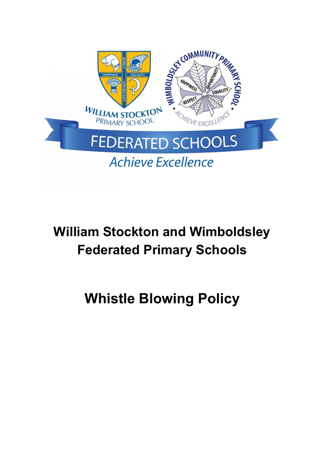

# **William Stockton and Wimboldsley Federated Primary Schools**

# **Whistle Blowing Policy**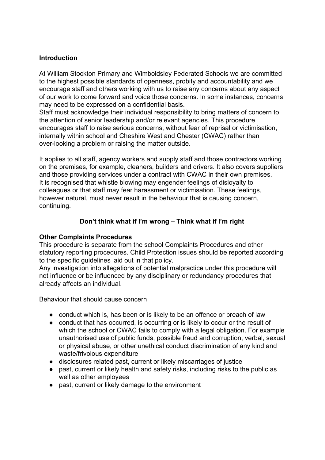## **Introduction**

At William Stockton Primary and Wimboldsley Federated Schools we are committed to the highest possible standards of openness, probity and accountability and we encourage staff and others working with us to raise any concerns about any aspect of our work to come forward and voice those concerns. In some instances, concerns may need to be expressed on a confidential basis.

Staff must acknowledge their individual responsibility to bring matters of concern to the attention of senior leadership and/or relevant agencies. This procedure encourages staff to raise serious concerns, without fear of reprisal or victimisation, internally within school and Cheshire West and Chester (CWAC) rather than over-looking a problem or raising the matter outside.

It applies to all staff, agency workers and supply staff and those contractors working on the premises, for example, cleaners, builders and drivers. It also covers suppliers and those providing services under a contract with CWAC in their own premises. It is recognised that whistle blowing may engender feelings of disloyalty to colleagues or that staff may fear harassment or victimisation. These feelings, however natural, must never result in the behaviour that is causing concern, continuing.

## **Don't think what if I'm wrong – Think what if I'm right**

### **Other Complaints Procedures**

This procedure is separate from the school Complaints Procedures and other statutory reporting procedures. Child Protection issues should be reported according to the specific guidelines laid out in that policy.

Any investigation into allegations of potential malpractice under this procedure will not influence or be influenced by any disciplinary or redundancy procedures that already affects an individual.

Behaviour that should cause concern

- conduct which is, has been or is likely to be an offence or breach of law
- conduct that has occurred, is occurring or is likely to occur or the result of which the school or CWAC fails to comply with a legal obligation. For example unauthorised use of public funds, possible fraud and corruption, verbal, sexual or physical abuse, or other unethical conduct discrimination of any kind and waste/frivolous expenditure
- disclosures related past, current or likely miscarriages of justice
- past, current or likely health and safety risks, including risks to the public as well as other employees
- past, current or likely damage to the environment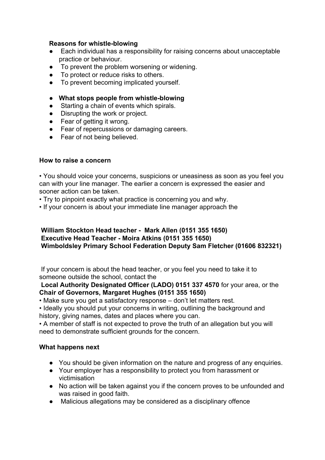### **Reasons for whistle-blowing**

- Each individual has a responsibility for raising concerns about unacceptable practice or behaviour.
- To prevent the problem worsening or widening.
- To protect or reduce risks to others.
- To prevent becoming implicated yourself.
- **● What stops people from whistle-blowing**
- Starting a chain of events which spirals.
- Disrupting the work or project.
- Fear of getting it wrong.
- Fear of repercussions or damaging careers.
- Fear of not being believed.

# **How to raise a concern**

• You should voice your concerns, suspicions or uneasiness as soon as you feel you can with your line manager. The earlier a concern is expressed the easier and sooner action can be taken.

- Try to pinpoint exactly what practice is concerning you and why.
- If your concern is about your immediate line manager approach the

# **William Stockton Head teacher - Mark Allen (0151 355 1650) Executive Head Teacher - Moira Atkins (0151 355 1650) Wimboldsley Primary School Federation Deputy Sam Fletcher (01606 832321)**

 If your concern is about the head teacher, or you feel you need to take it to someone outside the school, contact the

**Local Authority Designated Officer (LADO) 0151 337 4570** for your area, or the **Chair of Governors, Margaret Hughes (0151 355 1650)**

• Make sure you get a satisfactory response – don't let matters rest.

• Ideally you should put your concerns in writing, outlining the background and history, giving names, dates and places where you can.

• A member of staff is not expected to prove the truth of an allegation but you will need to demonstrate sufficient grounds for the concern.

# **What happens next**

- You should be given information on the nature and progress of any enquiries.
- Your employer has a responsibility to protect you from harassment or victimisation
- No action will be taken against you if the concern proves to be unfounded and was raised in good faith.
- Malicious allegations may be considered as a disciplinary offence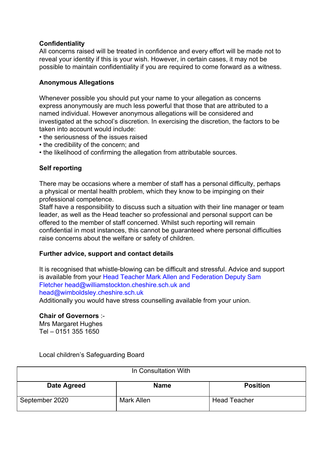## **Confidentiality**

All concerns raised will be treated in confidence and every effort will be made not to reveal your identity if this is your wish. However, in certain cases, it may not be possible to maintain confidentiality if you are required to come forward as a witness.

## **Anonymous Allegations**

Whenever possible you should put your name to your allegation as concerns express anonymously are much less powerful that those that are attributed to a named individual. However anonymous allegations will be considered and investigated at the school's discretion. In exercising the discretion, the factors to be taken into account would include:

- the seriousness of the issues raised
- the credibility of the concern; and
- the likelihood of confirming the allegation from attributable sources.

## **Self reporting**

There may be occasions where a member of staff has a personal difficulty, perhaps a physical or mental health problem, which they know to be impinging on their professional competence.

Staff have a responsibility to discuss such a situation with their line manager or team leader, as well as the Head teacher so professional and personal support can be offered to the member of staff concerned. Whilst such reporting will remain confidential in most instances, this cannot be guaranteed where personal difficulties raise concerns about the welfare or safety of children.

### **Further advice, support and contact details**

It is recognised that whistle-blowing can be difficult and stressful. Advice and support is available from your Head Teacher Mark Allen and Federation Deputy Sam Fletcher [head@williamstockton.cheshire.sch.uk](mailto:head@williamstockton.cheshire.sch.uk) and [head@wimboldsley.cheshire.sch.uk](mailto:head@wimboldsley.cheshire.sch.uk)

Additionally you would have stress counselling available from your union.

### **Chair of Governors** :-

Mrs Margaret Hughes Tel – 0151 355 1650

Local children's Safeguarding Board

| In Consultation With |             |                     |  |
|----------------------|-------------|---------------------|--|
| Date Agreed          | <b>Name</b> | <b>Position</b>     |  |
| September 2020       | Mark Allen  | <b>Head Teacher</b> |  |